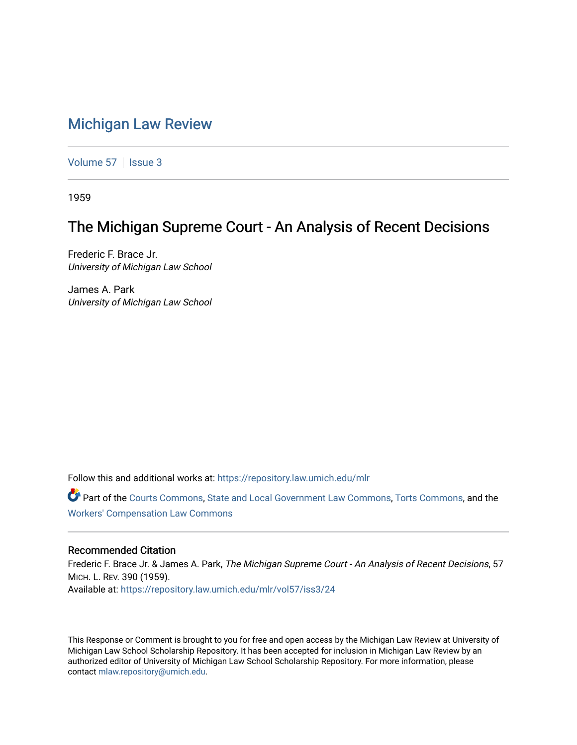# [Michigan Law Review](https://repository.law.umich.edu/mlr)

[Volume 57](https://repository.law.umich.edu/mlr/vol57) | [Issue 3](https://repository.law.umich.edu/mlr/vol57/iss3)

1959

# The Michigan Supreme Court - An Analysis of Recent Decisions

Frederic F. Brace Jr. University of Michigan Law School

James A. Park University of Michigan Law School

Follow this and additional works at: [https://repository.law.umich.edu/mlr](https://repository.law.umich.edu/mlr?utm_source=repository.law.umich.edu%2Fmlr%2Fvol57%2Fiss3%2F24&utm_medium=PDF&utm_campaign=PDFCoverPages) 

Part of the [Courts Commons,](http://network.bepress.com/hgg/discipline/839?utm_source=repository.law.umich.edu%2Fmlr%2Fvol57%2Fiss3%2F24&utm_medium=PDF&utm_campaign=PDFCoverPages) [State and Local Government Law Commons](http://network.bepress.com/hgg/discipline/879?utm_source=repository.law.umich.edu%2Fmlr%2Fvol57%2Fiss3%2F24&utm_medium=PDF&utm_campaign=PDFCoverPages), [Torts Commons](http://network.bepress.com/hgg/discipline/913?utm_source=repository.law.umich.edu%2Fmlr%2Fvol57%2Fiss3%2F24&utm_medium=PDF&utm_campaign=PDFCoverPages), and the [Workers' Compensation Law Commons](http://network.bepress.com/hgg/discipline/889?utm_source=repository.law.umich.edu%2Fmlr%2Fvol57%2Fiss3%2F24&utm_medium=PDF&utm_campaign=PDFCoverPages)

# Recommended Citation

Frederic F. Brace Jr. & James A. Park, The Michigan Supreme Court - An Analysis of Recent Decisions, 57 MICH. L. REV. 390 (1959). Available at: [https://repository.law.umich.edu/mlr/vol57/iss3/24](https://repository.law.umich.edu/mlr/vol57/iss3/24?utm_source=repository.law.umich.edu%2Fmlr%2Fvol57%2Fiss3%2F24&utm_medium=PDF&utm_campaign=PDFCoverPages) 

This Response or Comment is brought to you for free and open access by the Michigan Law Review at University of Michigan Law School Scholarship Repository. It has been accepted for inclusion in Michigan Law Review by an authorized editor of University of Michigan Law School Scholarship Repository. For more information, please contact [mlaw.repository@umich.edu](mailto:mlaw.repository@umich.edu).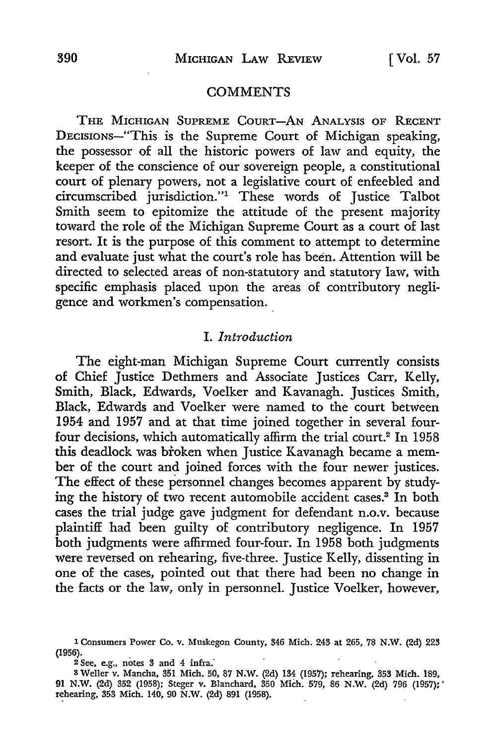### **COMMENTS**

THE MICHIGAN SUPREME COURT-AN ANALYSIS OF RECENT DECISIONs-"This is the Supreme Court of Michigan speaking, the possessor of all the historic powers of law and equity, the keeper of the conscience of our sovereign people, a constitutional court of plenary powers, not a legislative court of enfeebled and circumscribed jurisdiction."1 These words of Justice Talbot Smith seem to epitomize the attitude of the present majority toward the role of the Michigan Supreme Court as a court of last resort. It is the purpose of this comment to attempt to determine and evaluate just what the court's role has been. Attention will be directed to selected areas of non-statutory and statutory law, with specific emphasis placed upon the areas of contributory negligence and workmen's compensation.

## I. *Introduction*

The eight-man Michigan Supreme Court currently consists of Chief Justice Dethmers and Associate Justices Carr, Kelly, Smith, Black, Edwards, Voelker and Kavanagh. Justices Smith, Black, Edwards and Voelker were named to the court between 1954 and 1957 and at that time joined together in several fourfour decisions, which automatically affirm the trial court.<sup>2</sup> In 1958 this deadlock was broken when Justice Kavanagh became a member of the court and joined forces with the four newer justices. The effect of these personnel changes becomes apparent by studying the history of two recent automobile accident cases.3 In both cases the trial judge gave judgment for defendant n.o.v. because plaintiff had been guilty of contributory negligence. In 1957 both judgments were affirmed four-four. In 1958 both judgments were reversed on rehearing, five-three. Justice Kelly, dissenting in one of the cases, pointed out that there had been no change in the facts or the law, only in personnel. Justice Voelker, however,

 $2$  See, e.g., notes 3 and 4 infra.

<sup>1</sup> Consumers Power Co. v. Muskegon County, 346 Mich. 243 at 265, 78 **N.W.** (2d) 223 (1956).

<sup>3</sup> Weller v. Mancha, 351 Mich. 50, 87 N.W. (2d) 134 (1957); rehearing, 353 Mich. 189, 91 N.W. (2d) 352 (1958); Steger v. Blanchard, 350 Mich. 579, 86 N.W. (2d) 796 (1957):' rehearing, 353 Mich. 140, 90 N.W. (2d) 891 (1958).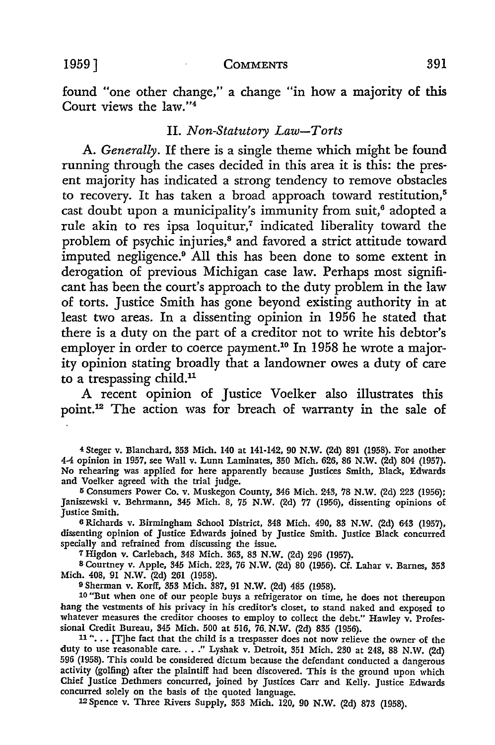1959] **COMMENTS** 391

found "one other change," a change "in how a majority of this Court views the law."<sup>4</sup>

### II. *Non-Statutory Law-Torts*

**A.** *Generally.* If there is a single theme which might be found running through the cases decided in this area it is this: the present majority has indicated a strong tendency to remove obstacles to recovery. It has taken a broad approach toward restitution,<sup>5</sup> cast doubt upon a municipality's immunity from suit,<sup>6</sup> adopted a rule akin to res ipsa loquitur,<sup>7</sup> indicated liberality toward the problem of psychic injuries,<sup>8</sup> and favored a strict attitude toward imputed negligence.9 All this has been done to some extent in derogation of previous Michigan case law. Perhaps most significant has been the court's approach to the duty problem in the law of torts. Justice Smith has gone beyond existing authority in at least two areas. In a dissenting opinion in 1956 he stated that there is a duty on the part of a creditor not to write his debtor's employer in order to coerce payment.<sup>10</sup> In 1958 he wrote a majority opinion stating broadly that a landowner owes a duty of care to a trespassing child.<sup>11</sup>

A recent opinion of Justice Voelker also illustrates this point.12 The action was for breach of warranty in the sale of

<sup>4</sup>Steger v. Blanchard, 353 Mich. 140 at 141-142, 90 N.W. (2d) 891 (1958). For another 4-4 opinion in 1957, see Wall v. Lunn Laminates, 350 Mich. 626, 86 N.W. (2d) 804 (1957). No rehearing was applied for here apparently because Justices Smith, Black, Edwards and Voelker agreed with the trial judge.

<sup>5</sup> Consumers Power Co. v. Muskegon County, 346 Mich. 243, 78 N.W. (2d) 223 (1956); Janiszewski v. Behrmann, 345 Mich. 8, 75 N.W. (2d) 77 (1956), dissenting opinions of Justice Smith.

6 Richards v. Birmingham School District, 348 Mich. 490, 83 N.W. (2d) 643 (1957), dissenting opinion of Justice Edwards joined by Justice Smith. Justice Black concurred specially and refrained from discussing the issue.

7 Higdon v. Carlebach, 348 Mich. 363, 83 N.W. (2d) 296 (1957).

8 Courtney v. Apple, 345 Mich. 223, 76 N.W. (2d) 80 (1956). Cf. Lahar v. Barnes, 353 Mich. 408, 91 N.W. (2d) 261 (1958).

9 Sherman v. Korff, 353 Mich. 387, 91 N.W. (2d) 485 (1958).

10 "But when one of our people buys a refrigerator on time, he does not thereupon hang the vestments of his privacy in his creditor's closet, to stand naked and exposed to whatever measures the creditor chooses to employ to collect the debt." Hawley  $\mathbf{v}$ . Professional Credit Bureau, 345 Mich. 500 at 516, 76. **N.W.** (2d) 835 (1956).

11 "... [T]he fact that the child is a trespasser does not now relieve the owner of the duty to use reasonable care. . . ." Lyshak v. Detroit, 351 Mich. 230 at 248, 88 N.W. (2d) 596 (1958). This could be considered dictum because the defendant conducted a dangerous activity (golfing) after the plaintiff had been discovered. This is the ground upon which Chief Justice Dethmers concurred, joined by Justices Carr and Kelly. Justice Edwards concurred solely on the basis of the quoted language.

12 Spence v. Three Rivers Supply, 353 Mich. 120, 90 N.W. (2d) 873 (1958).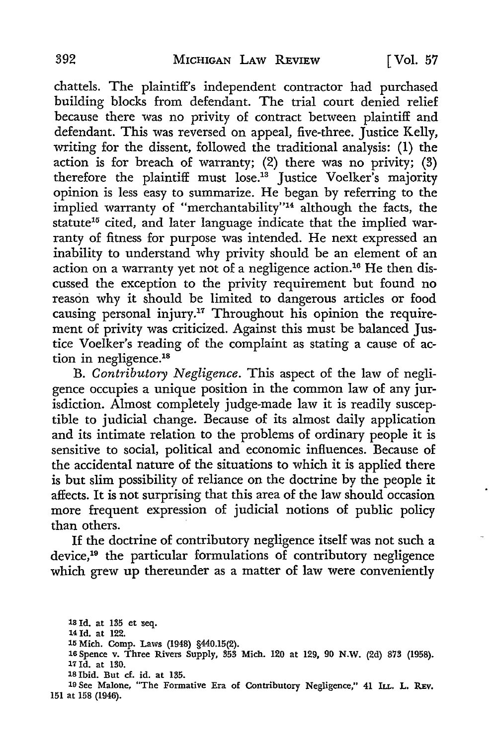chattels. The plaintiff's independent contractor had purchased building blocks from defendant. The trial court denied relief because there was no privity of contract between plaintiff and defendant. This was reversed on appeal, five-three. Justice Kelly, writing for the dissent, followed the traditional analysis: (1) the action is for breach of warranty; (2) there was no privity; (3) therefore the plaintiff must lose.13 Justice Voelker's majority opinion is less easy to summarize. He began by referring to the implied warranty of "merchantability"14 although the facts, the statute<sup>15</sup> cited, and later language indicate that the implied warranty of fitness for purpose was intended. He next expressed an inability to understand why privity should be an element of an action on a warranty yet not of a negligence action.16 He then discussed the exception to the privity requirement but found no reason why it should be limited to dangerous articles or food causing personal injury.<sup>17</sup> Throughout his opinion the requirement of privity was criticized. Against this must be balanced Justice Voelker's reading of the complaint as stating a cause of action in negligence.18

B. *Contributory Negligence.* This aspect of the law of negligence occupies a unique position in the common law of any jurisdiction. Almost completely judge-made law it is readily susceptible to judicial change. Because of its almost daily application and its intimate relation to the problems of ordinary people it is sensitive to social, political and economic influences. Because of the accidental nature of the situations to which it is applied there is but slim possibility of reliance on the doctrine by the people it affects. It is not surprising that this area of the law should occasion more frequent expression of judicial notions of public policy than others.

If the doctrine of contributory negligence itself was not such a device,19 the particular formulations of contributory negligence which grew up thereunder as a matter of law were conveniently

ls Id. at 135 et seq. 14 Id. at 122. 15 Mich. Comp. Laws (1948) §440.15(2). 16 Spence v. Three Rivers Supply, 353 Mich. 120 at 129, 90 **N.W.** (2d) 873 (1958). 17 Id. at 130. 18 Ibid. But cf. id. at 135. 19 See Malone, "The Formative Era of Contributory Negligence," 41 ILL. L. REv.

151 at 158 (1946).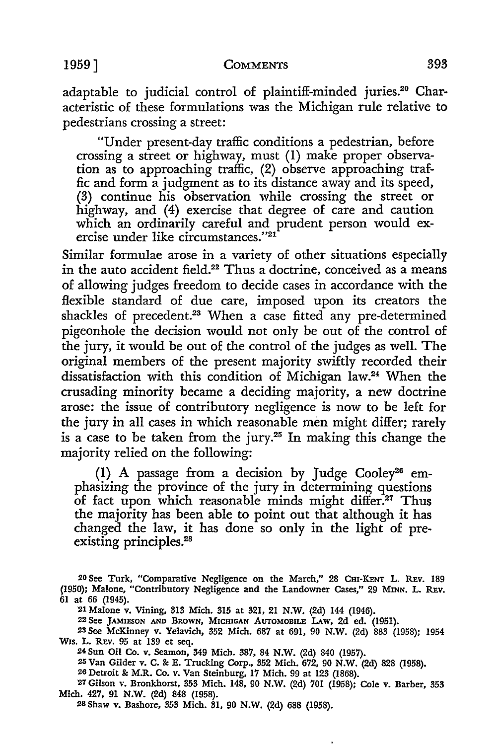"Under present-day traffic conditions a pedestrian, before crossing a street or highway, must (I) make proper observation as to approaching traffic, (2) observe approaching traffic and form a judgment as to its distance away and its speed, (3) continue his observation while crossing the street or highway, and (4) exercise that degree of care and caution which an ordinarily careful and prudent person would exercise under like circumstances."21

Similar formulae arose in a variety of other situations especially in the auto accident field.<sup>22</sup> Thus a doctrine, conceived as a means of allowing judges freedom to decide cases in accordance with the flexible standard of due care, imposed upon its creators the shackles of precedent.<sup>23</sup> When a case fitted any pre-determined pigeonhole the decision would not only be out of the control of the jury, it would be out of the control of the judges as well. The original members of the present majority swiftly recorded their dissatisfaction with this condition of Michigan law.24 When the crusading minority became a deciding majority, a new doctrine arose: the issue of contributory negligence is now to be left for the jury in all cases in which reasonable men might differ; rarely is a case to be taken from the jury.<sup>25</sup> In making this change the majority relied on the following:

(I) A passage from a decision by Judge Cooley26 emphasizing the province of the jury in determining questions of fact upon which reasonable minds might differ.<sup>27</sup> Thus the majority has been able to point out that although it has changed the law, it has done so only in the light of preexisting principles.<sup>28</sup>

22 See JAMIESON AND BROWN, MICHIGAN AUTOMOBILE LAw, 2d ed. (1951).

25 Van Gilder v. C. &: E. Trucking Corp., 352 Mich. 672, 90 N.W. (2d) 828 (1958).

26 Detroit&: M.R. Co. v. Van Steinburg, 17 Mich. 99 at 123 (1868).

27 Gilson v. Bronkhorst, 353 Mich. 148, 90 N.W. (2d) 701 (1958); Cole v. Barber, 353 Mich. 427, 91 N.W. (2d) 848 (1958).

28 Shaw v. Bashore, 353 Mich. 31, 90 N.W. (2d) 688 (1958).

<sup>20</sup> See Turk, "Comparative Negligence on the March," 28 Cm-KENT **L.** REv. 189 (1950); Malone, "Contributory Negligence and the Landowner Cases," 29 MINN. L. REv. 61 at 66 (1945).

<sup>21</sup> Malone v. Vining, 313 Mich. 315 at 321, 21 N.W. (2d) 144 (1946).

<sup>23</sup> See McKinney v. Yelavich, 352 Mich. 687 at 691, 90 N.W. (2d) 883 (1958); 1954 Wis. L. REv. 95 at 139 et seq.

<sup>2</sup>i Sun Oil Co. v. Seamon, 349 Mich. 387, 84 N.W. (2d) 840 (1957).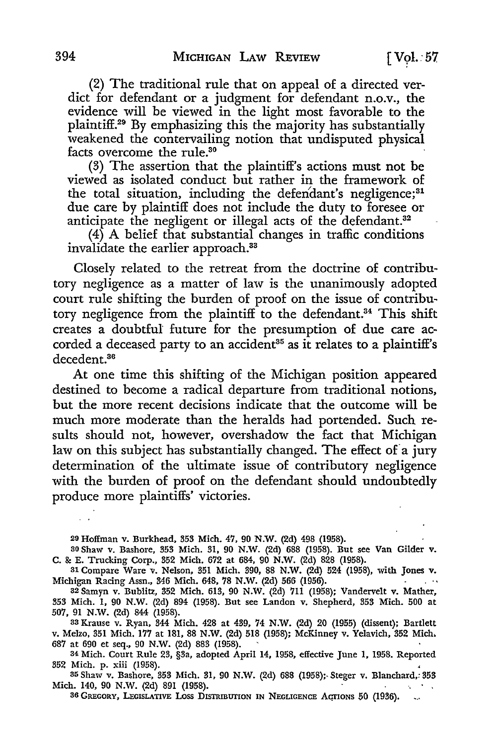(2) The traditional rule that on appeal of a directed verdict for defendant or a judgment for defendant n.o.v., the evidence will be viewed in the light most favorable to the plaintiff.29 By emphasizing this the majority has substantially weakened the contervailing notion that undisputed physical facts overcome the rule.<sup>30</sup>

(3) The assertion that the plaintiff's actions must not be viewed as isolated conduct but rather in the framework of the total situation, including the defendant's negligence;<sup>31</sup> due care by plaintiff does not include the duty to foresee or anticipate the negligent or illegal acts of the defendant.<sup>32</sup>

(4) A belief that substantial changes in traffic conditions invalidate the earlier approach.<sup>33</sup>

Closely related to the retreat from the doctrine of contributory negligence as a matter of law is the unanimously adopted court rule shifting the burden of proof on the issue of contributory negligence from the plaintiff to the defendant.<sup>34</sup> This shift creates a doubtful future for the presumption of due care accorded a deceased party to an accident<sup>35</sup> as it relates to a plaintiff's decedent.<sup>36</sup>

At one time this shifting of the Michigan position appeared destined to become a radical departure from traditional notions, but the more recent decisions indicate that the outcome will be much more moderate than the heralds had portended. Such results should not, however, overshadow the fact that Michigan law on this subject has substantially changed. The effect of a jury determination of the ultimate issue of contributory negligence with the burden of proof on the defendant should undoubtedly produce more plaintiffs' victories.

20 Hoffman v. Burkhead, 353 **Mich.** 47, 90 **N.W.** (2d) 498 (1958).

so Shaw v. Bashore, 353 Mich. 31, 90 N.W. (2d) 688 (1958). But see Van Gilder v. C. & E. Trucking Corp., 352 Mich. 672 at 684, 90 N.W. (2d) 828 (1958).

31 Compare Ware v. Nelson, 351 Mich. 390, 88 N.W. (2d) 524 (1958), with Jones v. Michigan Racing Assn., 346 Mich. 648, 78 N.W. (2d) 566 (1956).

32 Samyn v. Bublitz, 352 Mich. 613, 90 N.W. (2d) 711 (1958); Vandervelt v. Mather, 353 Mich. 1, 90 N.W. (2d) 894 (1958). But see Landon v. Shepherd, 353 Mich. 500 at 507, 91 N.W. (2d) 844 (1958).

33 Krause v. Ryan, 344 Mich. 428 at 439, 74 N.W. (2d) 20 (1955) (dissent); Bartlett v. Melzo, 351 Mich. 177 at 181, 88 N.W. (2d) 518 (1958); McKinney v. Yelavich, 352 Mich, 687 at 690 et seq., 90 N.W. (2d) 883 (1958).

34 Mich. Court Rule 23, §3a, adopted April 14, 1958, effective June 1, 1958. Reported 352 Mich. p. xiii (1958).

35 Shaw v. Bashore, 353 Mich. 31, 90 N .W. (2d) 688 (1958);, Steger v. Blanchard,: 353 Mich. 140, 90 N.W. (2d) 891 (1958).

36 GREGORY, LEGISLATIVE LOSS DISTRIBUTION IN NEGLIGENCE ACTIONS 50 (1936).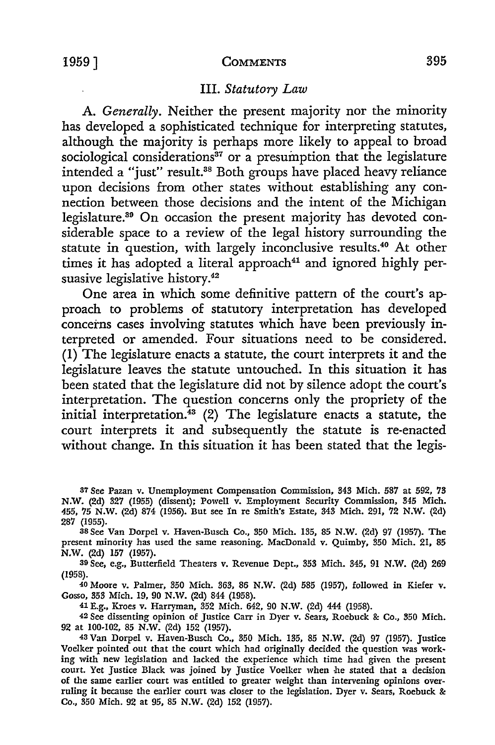## III. *Statutory Law*

A. *Generally.* Neither the present majority nor the minority has developed a sophisticated technique for interpreting statutes, although the majority is perhaps more likely to appeal to broad sociological considerations $37$  or a presumption that the legislature intended a "just" result.<sup>38</sup> Both groups have placed heavy reliance upon decisions from other states without establishing any connection between those decisions and the intent of the Michigan legislature.30 On occasion the present majority has devoted considerable space to a review of the legal history surrounding the statute in question, with largely inconclusive results.<sup>40</sup> At other times it has adopted a literal approach<sup>41</sup> and ignored highly persuasive legislative history.<sup>42</sup>

One area in which some definitive pattern of the court's approach to problems of statutory interpretation has developed concerns cases involving statutes which have been previously interpreted or amended. Four situations need to be considered. (1) The legislature enacts a statute, the court interprets it and the legislature leaves the statute untouched. In this situation it has been stated that the legislature did not by silence adopt the court's interpretation. The question concerns only the propriety of the initial interpretation.43 (2) The legislature enacts a statute, the court interprets it and subsequently the statute is re-enacted without change. In this situation it has been stated that the legis-

87 See Pazan v. Unemployment Compensation Commission, 343 Mich. 587 at 592, 73 N.W. (2d) 327 (1955) (dissent); Powell v. Employment Security Commission, 345 Mich. 455, 75 N.W. (2d) 874 (1956). But see In re Smith's Estate, 343 Mich. 291, 72 N.W. (2d) 287 (1955).

38 See Van Dorpel v. Haven-Busch Co., 350 Mich. 135, 85 N.W. (2d) 97 (1957). The present minority has used the same reasoning. MacDonald v. Quimby, 350 Mich. 21, 85 N.W. (2d) 157 (1957).

39 See, e.g., Butterfield Theaters v. Revenue Dept., 353 Mich. 345, 91 **N.W.** (2d) 269 (1958).

40 Moore v. Palmer, 350 Mich. 363, 86 **N.W.** (2d) 585 (1957), followed in Kiefer v. Gosso, 353 Mich. 19, 90 **N.W.** (2d) 844 (1958).

41 E.g., Kroes v. Harryman, 352 Mich. 642, 90 **N.W.** (2d) 444 (1958).

42 See dissenting opinion of Justice Carr in Dyer v. Sears, Roebuck &: Co., 350 Mich. 92 at 100-102, 85 **N.W.** (2d) 152 (1957).

43 Van Dorpel v. Haven-Busch Co., 350 Mich. 135, 85 **N.W.** (2d) 97 (1957). Justice Voelker pointed out that the court which had originally decided the question was working with new legislation and lacked the experience which time had given the present court. Yet Justice Black was joined by Justice Voelker when he stated that a decision of the same earlier court was entitled to greater weight than intervening opinions overruling it because the earlier court was closer to the legislation. Dyer v. Sears, Roebuck &: Co., 350 Mich. 92 at 95, 85 N.W. (2d) 152 (1957).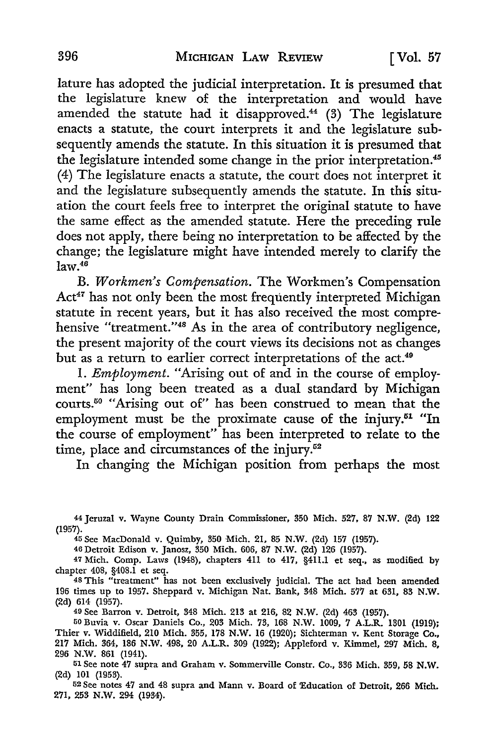Iature has adopted the judicial interpretation. It is presumed that the legislature knew of the interpretation and would have amended the statute had it disapproved.<sup>44</sup> (3) The legislature enacts a statute, the court interprets it and the legislature subsequently amends the statute. In this situation it is presumed that the legislature intended some change in the prior interpretation.<sup>45</sup> (4) The legislature enacts a statute, the court does not interpret it and the legislature subsequently amends the statute. In this situation the court feels free to interpret the original statute to have the same effect as the amended statute. Here the preceding rule does not apply, there being no interpretation to be affected by the change; the legislature might have intended merely to clarify the  $law<sup>46</sup>$ 

B. Workmen's Compensation. The Workmen's Compensation Act<sup>47</sup> has not only been the most frequently interpreted Michigan statute in recent years, but it has also received the most comprehensive "treatment."48 As in the area of contributory negligence, the present majority of the court views its decisions not as changes but as a return to earlier correct interpretations of the act.<sup>49</sup>

I. *Employment.* "Arising out of and in the course of employment" has long been treated as a dual standard by Michigan courts.50 "Arising out of" has been construed to mean that the employment must be the proximate cause of the injury.<sup>51</sup> "In the course of employment" has been interpreted to relate to the time, place and circumstances of the injury.<sup>52</sup>

In changing the Michigan position from perhaps the most

44 Jeruzal v. Wayne County Drain Commissioner, 350 Mich. 527, 87 **N.W.** (2d) 122 (1957).

45 See MacDonald v. Quimby, 350 Mich. 21, 85 N.W. (2d) 157 (1957).

46 Detroit Edison v. Janosz, 350 Mich. 606, 87 N.W. (2d) 126 (1957).

47 Mich. Comp. Laws (1948), chapters 411 to 417, §411.1 et seq., as modified by chapter 408, §408.1 et seq.

<sup>48</sup>This "treatment" has not been exclusively judicial. The act had been amended 196 times up to 1957. Sheppard v. Michigan Nat. Bank, 348 Mich. 577 at 631, 83 **N.W.**  (2d) 614 (1957).

49 See Barron v. Detroit, 348 Mich. 213 at 216, 82 N.W. (2d) 463 (1957).

50 Buvia v. Oscar Daniels Co., 203 Mich. 73, 168 N.W. 1009, 7 A.L.R. 1301 (1919); Thier v. Widdifield, 210 Mich. 355, 178 N.W. 16 (1920); Sichterman v. Kent Storage Co., 217 Mich. 364, 186 N.W. 498, 20 A.L.R. 309 (1922); Appleford v. Kimmel, 297 Mich. 8, 296 N.W. 861 (1941).

51 See note 47 supra and Graham v. Sommerville Constr. Co., 336 Mich. 359, 58 **N.W.**  (2d) 101 (1953).

52 See notes 47 and 48 supra and Mann v. Board of Education of Detroit, 266 Mich. 271, 253 N.W. 294 (1934).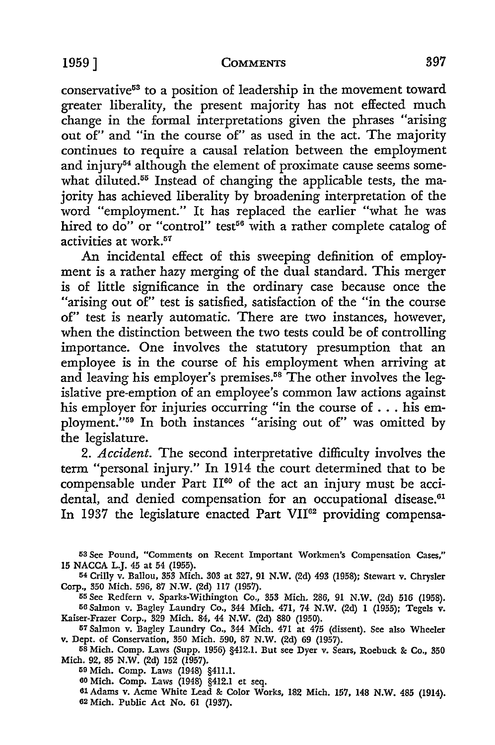conservative<sup>53</sup> to a position of leadership in the movement toward greater liberality, the present majority has not effected much change in the formal interpretations given the phrases "arising out of" and "in the course of" as used in the act. The majority continues to require a causal relation between the employment and injury<sup>54</sup> although the element of proximate cause seems somewhat diluted.<sup>55</sup> Instead of changing the applicable tests, the majority has achieved liberality by broadening interpretation of the word "employment." It has replaced the earlier "what he was hired to do" or "control" test<sup>56</sup> with a rather complete catalog of activities at work.51

An incidental effect of this sweeping definition of employment is a rather hazy merging of the dual standard. This merger is of little significance in the ordinary case because once the "arising out of" test is satisfied, satisfaction of the "in the course of" test is nearly automatic. There are two instances, however, when the distinction between the two tests could be of controlling importance. One involves the statutory presumption that an employee is in the course of his employment when arriving at and leaving his employer's premises.<sup>58</sup> The other involves the legislative pre-emption of an employee's common law actions against his employer for injuries occurring "in the course of ... his employment."59 In both instances "arising out of" was omitted by the legislature.

2. *Accident.* The second interpretative difficulty involves the term "personal injury." In 1914 the court determined that to be compensable under Part  $II<sup>60</sup>$  of the act an injury must be accidental, and denied compensation for an occupational disease.<sup>61</sup> In 1937 the legislature enacted Part VII<sup>62</sup> providing compensa-

53 See Pound, "Comments on Recent Important Workmen's Compensation Cases," **15** NACCA L.J. 45 at 54 (1955).

<sup>54</sup>Crilly v. Ballou, 353 Mich. 303 at 327, 91 N.W. (2d) 493 (1958); Stewart v. Chrysler Corp., 350 Mich. 596, 87 N.W. (2d) 117 (1957).

55 See Redfern v. Sparks-Withington Co., 353 Mich. 286, 91 N.W. (2d) 516 (1958). 56 Salmon v. Bagley Laundry Co., 344 Mich. 471, 74 N.W. (2d) 1 (1955); Tegels v.

Kaiser-Frazer Corp., 329 Mich. 84, 44 N.W. (2d) 880 (1950). <sup>57</sup>Salmon v. Bagley Laundry Co., 344 Mich. 471 at 475 (dissent). See also Wheeler

v. Dept. of Conservation, 350 Mich. 590, 87 N.W. (2d) 69 (1957). 58 Mich. Comp. Laws (Supp. 1956) §412.1. But see Dyer v. Sears, Roebuck &: Co., 350

Mich. 92, 85 N.W. (2d) 152 (1957).

59 Mich. Comp. Laws (1948) §411.1.

60 Mich. Comp. Laws (1948) §412.1 et seq.

61Adams v. Acme White Lead&: Color Works, 182 Mich. 157, 148 N.W. 485 (1914). 62 Mich. Public Act No. 61 (1937).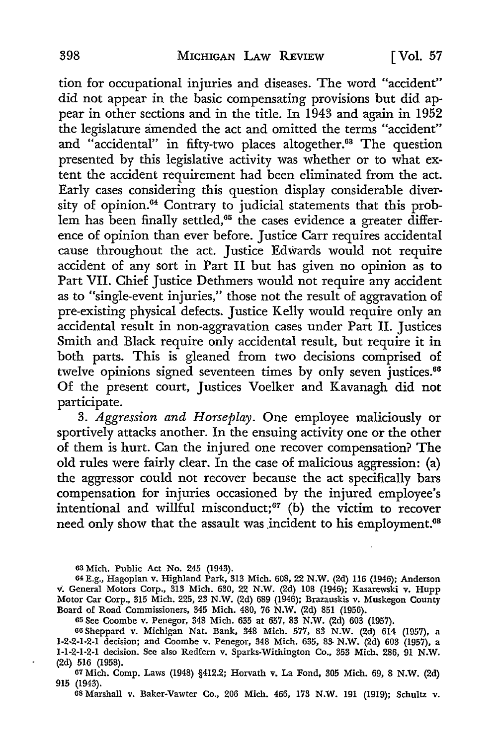tion for occupational injuries and diseases. The word "accident" did not appear in the basic compensating provisions but did appear in other sections and in the title. In 1943 and again in 1952 the legislature amended the act and omitted the terms "accident" and "accidental" in fifty-two places altogether.<sup>63</sup> The question presented by this legislative activity was whether or to what extent the accident requirement had been eliminated from the act. Early cases considering this question display considerable diversity of opinion.<sup>64</sup> Contrary to judicial statements that this problem has been finally settled,<sup>65</sup> the cases evidence a greater difference of opinion than ever before. Justice Carr requires accidental cause throughout the act. Justice Edwards would not require accident of any sort in Part II but has given no opinion as to Part VII. Chief Justice Dethmers would not require any accident as to "single-event injuries," those not the result of aggravation of pre-existing physical defects. Justice Kelly would require only an accidental result in non-aggravation cases under Part II. Justices Smith and Black require only accidental result, but require it in both parts. This is gleaned from two decisions comprised of twelve opinions signed seventeen times by only seven justices.<sup>66</sup> Of the present court, Justices Voelker and Kavanagh did not participate.

3. *Aggression and Horseplay.* One employee maliciously or sportively attacks another. In the ensuing activity one or the other of them is hurt. Can the injured one recover compensation? The old rules were fairly clear. In the case of malicious aggression: (a) the aggressor could not recover because the act specifically bars compensation for injuries occasioned by the injured employee's intentional and willful misconduct;<sup>67</sup> (b) the victim to recover need only show that the assault was incident to his employment.<sup>68</sup>

<sup>63</sup> Mich. Public Act No. 245 (1943).

<sup>64</sup> E.g., Hagopian v. Highland Park, 313 Mich. 608, 22 N.W. (2d) 116 (1946): Anderson v. General Motors Corp., 313 Mich. 630, 22 N.W. (2d) 108 (1946); Kasarewski v. Hupp Motor Car Corp., 315 Mich. 225, 23 N.W. (2d) 689 (1946); Brazauskis v. Muskegon County Board of Road Commissioners, 345 Mich. 480, 76 N.W. (2d) 851 (1956).

<sup>65</sup> See Coombe v. Penegor, 348 Mich. 635 at 657, 83 N.W. (2d) 603 (1957).

<sup>66</sup>Sheppard v. Michigan Nat. Bank, 348 Mich. 577, 83 N.W. (2d) 614 (1957), a 1-2-2-1-2-1 decision; and Coombe v. Penegor, 348 Mich. 635, 83- **N.W.** (2d) 603 (1957), a 1-1-2-1-2-1 decision. See also Redfern v. Sparks-Withington Co., 353 Mich. 286, 91 **N.W.**  (2d) 516 (1958).

<sup>67</sup> Mich. Comp. Laws (1948) §412.2; Horvath v. La Fond, 305 Mich. 69, 8 **N.W.** (2d) 915 (1943).

<sup>68</sup> Marshall v. Baker-Vawter Co., 206 Mich. 466, 173 N.W. 191 (1919); Schultz v.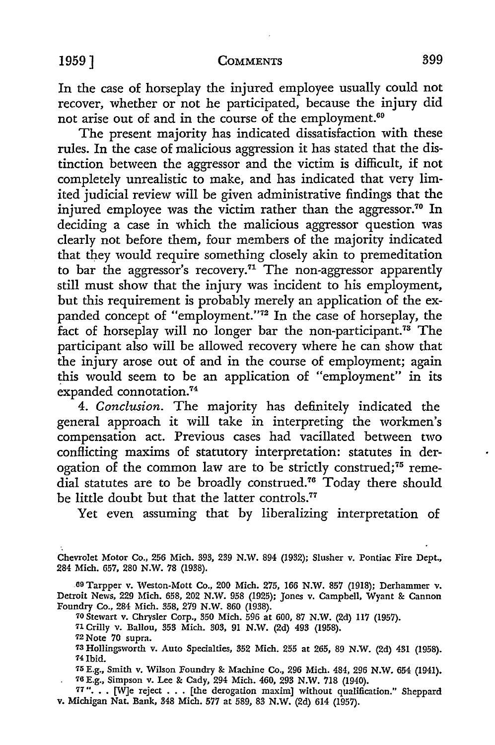### 1959] **COMMENTS** 399

In the case of horseplay the injured employee usually could not recover, whether or not he participated, because the injury did not arise out of and in the course of the employment.<sup>69</sup>

The present majority has indicated dissatisfaction with these rules. In the case of malicious aggression it has stated that the distinction between the aggressor and the victim is difficult, if not completely unrealistic to make, and has indicated that very limited judicial review will be given administrative findings that the injured employee was the victim rather than the aggressor.<sup>70</sup> In deciding a case in which the malicious aggressor question was clearly not before them, four members of the majority indicated that they would require something closely akin to premeditation to bar the aggressor's recovery.<sup>71</sup> The non-aggressor apparently still must show that the injury was incident to his employment, but this requirement is probably merely an application of the expanded concept of "employment."<sup>72</sup> In the case of horseplay, the fact of horseplay will no longer bar the non-participant.<sup>78</sup> The participant also will be allowed recovery where he can show that the injury arose out of and in the course of employment; again this would seem to be an application of "employment" in its expanded connotation.<sup>74</sup>

4. *Conclusion.* The majority has definitely indicated the general approach it will take in interpreting the workmen's compensation act. Previous cases had vacillated between two conflicting maxims of statutory interpretation: statutes in derogation of the common law are to be strictly construed;<sup>75</sup> remedial statutes are to be broadly construed.76 Today there should be little doubt but that the latter controls.<sup>77</sup>

Yet even assuming that by liberalizing interpretation of

- 70 Stewart v. Chrysler Corp., 350 Mich. 596 at 600, 87 N.W. (2d) 117 (1957).
- 71 Crilly v. Ballou, 353 Mich. 303, 91 N.W. (2d) 493 (1958).
- 72 Note 70 supra.
- <sup>73</sup>Hollingsworth v. Auto Specialties, 352 Mich. 255 at 265, 89 N.W. (2d) 431 (1958). 74lbid.
- 75 E.g., Smith v. Wilson Foundry & Machine Co., 296 Mich. 484, 296 N.W. 654 (1941). 76 E.g., Simpson v. Lee & Cady, 294 Mich. 460, 293 N.W. 718 (1940).

77 "... [W]e reject . . . [the derogation maxim] without qualification." Sheppard v. Michigan Nat. Bank, 348 Mich. 577 at 589, 83 N.W. (2d) 614 (1957).

Chevrolet Motor Co., 256 Mich. 393, 239 N.W. 894 (1932); Slusher v. Pontiac Fire Dept., 284 Mich. 657, 280 N.W. 78 (1938).

<sup>60</sup> Tarpper v. Weston-Mott Co., 200 Mich. 275, 166 N.W. 857 (1918); Derhammer v. Detroit News, 229 Mich. 658, 202 N.W. 958 (1925); Jones v. Campbell, Wyant & Cannon Foundry Co., 284 Mich. 358, 279 N.W. 860 (1938).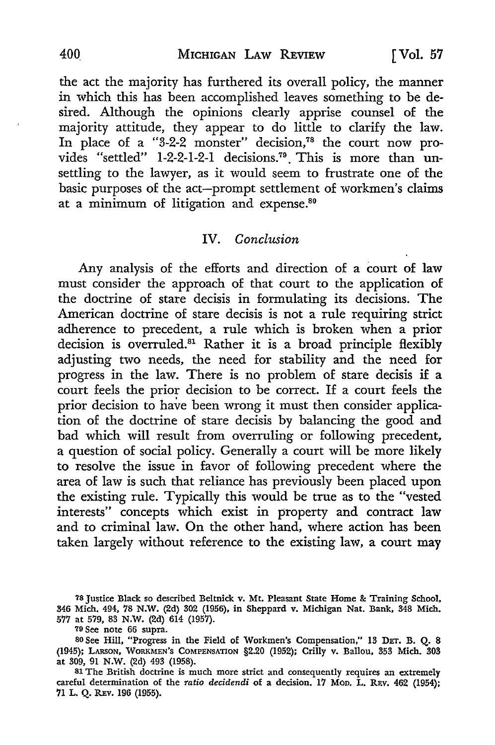the act the majority has furthered its overall policy, the manner in which this has been accomplished leaves something to be desired. Although the opinions clearly apprise counsel of the majority attitude, they appear to do little to clarify the law. In place of a "3-2-2 monster" decision,78 the court now provides "settled" 1-2-2-1-2-1 decisions.<sup>79</sup> This is more than unsettling to the lawyer, as it would seem to frustrate one of the basic purposes of the act-prompt settlement of workmen's claims at a minimum of litigation and expense.<sup>80</sup>

## **IV.** *Conclusion*

Any analysis of the efforts and direction of a court of law must consider the approach of that court to the application of the doctrine of stare decisis in formulating its decisions. The American doctrine of stare decisis is not a rule requiring strict adherence to precedent, a rule which is broken when a prior decision is overruled.<sup>81</sup> Rather it is a broad principle flexibly adjusting two needs, the need for stability and the need for progress in the law. There is no problem of stare decisis if a court feels the prior decision to be correct. If a court feels the prior decision to have been wrong it must then consider application of the doctrine of stare decisis by balancing the good and bad which will result from overruling or following precedent, a question of social policy. Generally a court will be more likely to resolve the issue in favor of following precedent where the area of law is such that reliance has previously been placed upon the existing rule. Typically this would be true as to the "vested interests" concepts which exist in property and contract law and to criminal law. On the other hand, where action has been taken largely without reference to the existing law, a court may

<sup>78</sup> Justice Black so described Beltnick v. Mt. Pleasant State Home &: Training School, 346 Mich. 494, 78 N.W. (2d) 302 (1956), in Sheppard v. Michigan Nat. Bank, 348 Mich. 577 at 579, 83 N.W. (2d) 614 (1957).

<sup>79</sup> See note 66 supra.

so See Hill, "Progress in the Field of Workmen's Compensation," 13 DET. B. Q. 8 (1945); LARSON, WORKMEN'S COMPENSATION §2.20 (1952); Crilly v. Ballou, 353 Mich. 303 at 309, 91 N.W. (2d) 493 (1958).

<sup>81</sup> The British doctrine is much more strict and consequently requires an extremely careful determination of the *ratio decidendi* of a decision. 17 Mon. L. REv. 462 (1954); '11 L. Q. REv. 196 (1955).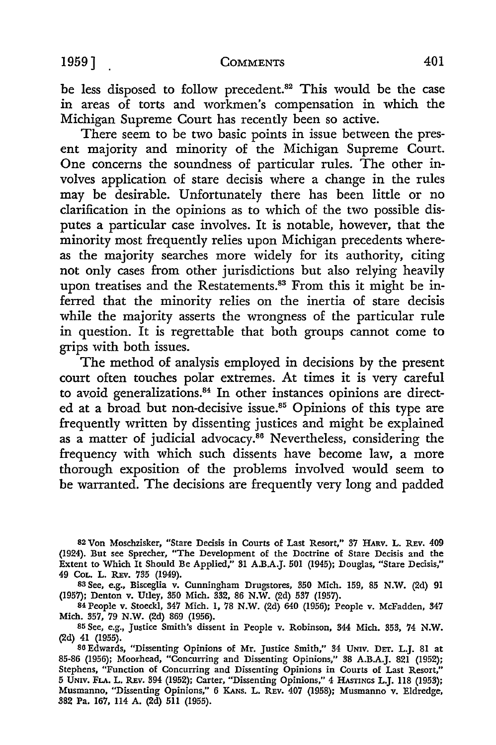be less disposed to follow precedent.<sup>82</sup> This would be the case in areas of torts and workmen's compensation in which the Michigan Supreme Court has recently been so active.

There seem to be two basic points in issue between the present majority and minority of the Michigan Supreme Court. One concerns the soundness of particular rules. The other involves application of stare decisis where a change in the rules may be desirable. Unfortunately there has been little or no clarification in the opinions as to which of the two possible disputes a particular case involves. It is notable, however, that the minority most frequently relies upon Michigan precedents whereas the majority searches more widely for its authority, citing not only cases from other jurisdictions but also relying heavily upon treatises and the Restatements.<sup>83</sup> From this it might be inferred that the minority relies on the inertia of stare decisis while the majority asserts the wrongness of the particular rule in question. It is regrettable that both groups cannot come to grips with both issues.

The method of analysis employed in decisions by the present court often touches polar extremes. At times it is very careful to avoid generalizations.<sup>84</sup> In other instances opinions are directed at a broad but non-decisive issue.<sup>85</sup> Opinions of this type are frequently written by dissenting justices and might be explained as a matter of judicial advocacy.<sup>86</sup> Nevertheless, considering the frequency with which such dissents have become law, a more thorough exposition of the problems involved would seem to be warranted. The decisions are frequently very long and padded

<sup>82</sup> Von Moschzisker, "Stare Decisis in Courts of Last Resort," 37 HARV. L. REv. 409 (1924). But see Sprecher, "The Development of the Doctrine of Stare Decisis and the Extent to Which It Should Be Applied," 31 A.B.A.J. 501 (1945); Douglas, "Stare Decisis," 49 CoL. L. REv. 735 (1949).

<sup>83</sup> See, e.g., Bisceglia v. Cunningham Drugstores, 350 Mich. 159, 85 N.W. (2d) 91 (1957); Denton v. Utley, 350 Mich. 332, 86 N.W. (2d) 537 (1957).

<sup>84</sup> People v. Stoeckl, 347 Mich. I, 78 N.W. (2d) 640 (1956); People v. McFadden, 347 Mich. 357, 79 N.W. (2d) 869 (1956).

<sup>85</sup> See, e.g., Justice Smith's dissent in People v. Robinson, 344 Mich. 353, 74 N.W. (2d) 41 (1955).

<sup>86</sup> Edwards, "Dissenting Opinions of Mr. Justice Smith," 34 UNIV. DET. L.J. 81 at 85-86 (1956); Moorhead, "Concurring and Dissenting Opinions," 38 A.B.A.J. 821 (1952); Stephens, "Function of Concurring and Dissenting Opinions in Courts of Last Resort," 5 UNIV. FLA. L. REv. 394 (1952); Carter, "Dissenting Opinions," 4 HAsTINGS L.J. 118 (1953); Musmanno, "Dissenting Opinions," 6 KANs. L. REv. 407 (1958); Musmanno v. Eldredge, 382 Pa. 167, 114 A. (2d) 511 (1955).